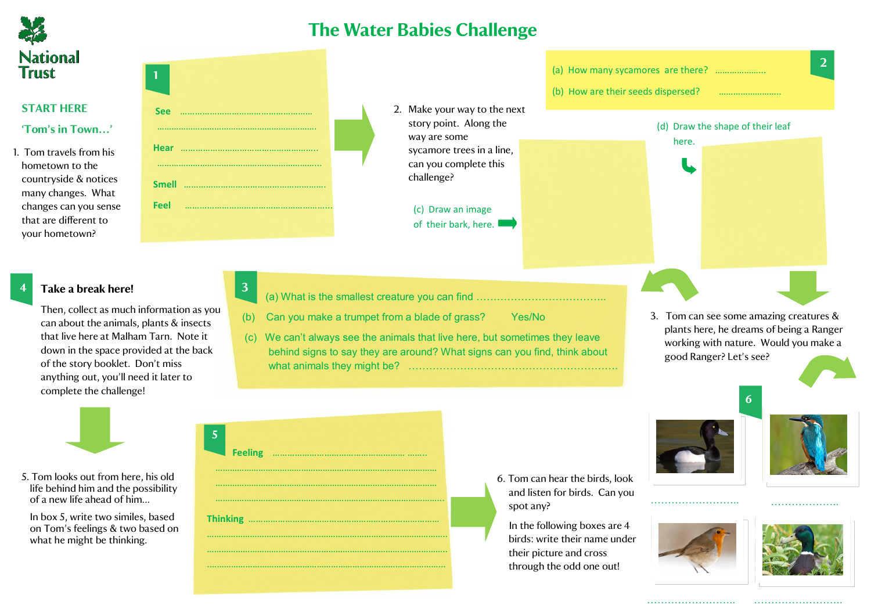

## **The Water Babies Challenge**